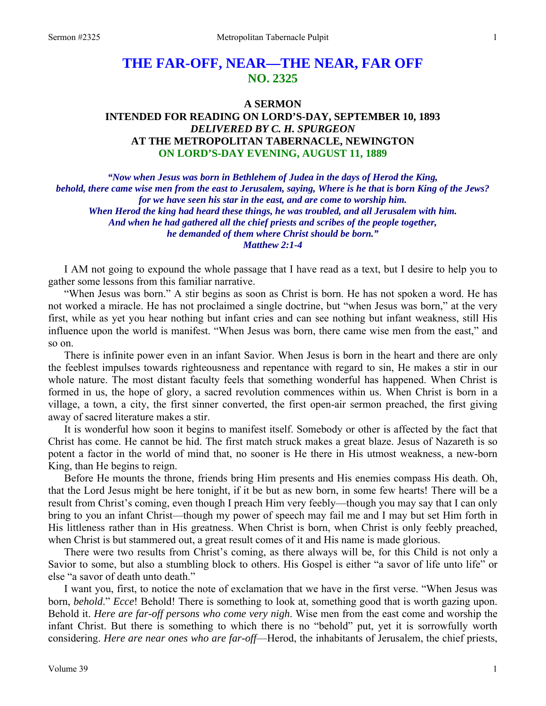# **THE FAR-OFF, NEAR—THE NEAR, FAR OFF NO. 2325**

# **A SERMON INTENDED FOR READING ON LORD'S-DAY, SEPTEMBER 10, 1893**  *DELIVERED BY C. H. SPURGEON*  **AT THE METROPOLITAN TABERNACLE, NEWINGTON ON LORD'S-DAY EVENING, AUGUST 11, 1889**

*"Now when Jesus was born in Bethlehem of Judea in the days of Herod the King, behold, there came wise men from the east to Jerusalem, saying, Where is he that is born King of the Jews? for we have seen his star in the east, and are come to worship him. When Herod the king had heard these things, he was troubled, and all Jerusalem with him. And when he had gathered all the chief priests and scribes of the people together, he demanded of them where Christ should be born." Matthew 2:1-4* 

I AM not going to expound the whole passage that I have read as a text, but I desire to help you to gather some lessons from this familiar narrative.

"When Jesus was born." A stir begins as soon as Christ is born. He has not spoken a word. He has not worked a miracle. He has not proclaimed a single doctrine, but "when Jesus was born," at the very first, while as yet you hear nothing but infant cries and can see nothing but infant weakness, still His influence upon the world is manifest. "When Jesus was born, there came wise men from the east," and so on.

There is infinite power even in an infant Savior. When Jesus is born in the heart and there are only the feeblest impulses towards righteousness and repentance with regard to sin, He makes a stir in our whole nature. The most distant faculty feels that something wonderful has happened. When Christ is formed in us, the hope of glory, a sacred revolution commences within us. When Christ is born in a village, a town, a city, the first sinner converted, the first open-air sermon preached, the first giving away of sacred literature makes a stir.

It is wonderful how soon it begins to manifest itself. Somebody or other is affected by the fact that Christ has come. He cannot be hid. The first match struck makes a great blaze. Jesus of Nazareth is so potent a factor in the world of mind that, no sooner is He there in His utmost weakness, a new-born King, than He begins to reign.

Before He mounts the throne, friends bring Him presents and His enemies compass His death. Oh, that the Lord Jesus might be here tonight, if it be but as new born, in some few hearts! There will be a result from Christ's coming, even though I preach Him very feebly—though you may say that I can only bring to you an infant Christ—though my power of speech may fail me and I may but set Him forth in His littleness rather than in His greatness. When Christ is born, when Christ is only feebly preached, when Christ is but stammered out, a great result comes of it and His name is made glorious.

There were two results from Christ's coming, as there always will be, for this Child is not only a Savior to some, but also a stumbling block to others. His Gospel is either "a savor of life unto life" or else "a savor of death unto death."

I want you, first, to notice the note of exclamation that we have in the first verse. "When Jesus was born, *behold*." *Ecce*! Behold! There is something to look at, something good that is worth gazing upon. Behold it. *Here are far-off persons who come very nigh*. Wise men from the east come and worship the infant Christ. But there is something to which there is no "behold" put, yet it is sorrowfully worth considering. *Here are near ones who are far-off*—Herod, the inhabitants of Jerusalem, the chief priests,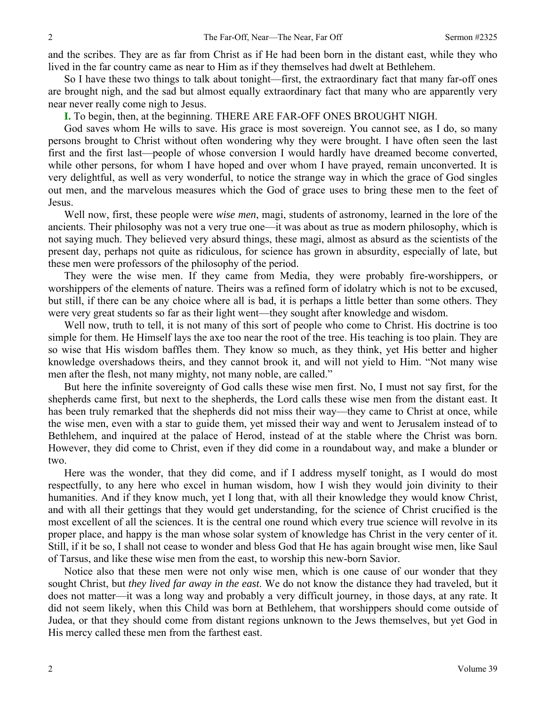and the scribes. They are as far from Christ as if He had been born in the distant east, while they who lived in the far country came as near to Him as if they themselves had dwelt at Bethlehem.

So I have these two things to talk about tonight—first, the extraordinary fact that many far-off ones are brought nigh, and the sad but almost equally extraordinary fact that many who are apparently very near never really come nigh to Jesus.

**I.** To begin, then, at the beginning. THERE ARE FAR-OFF ONES BROUGHT NIGH.

God saves whom He wills to save. His grace is most sovereign. You cannot see, as I do, so many persons brought to Christ without often wondering why they were brought. I have often seen the last first and the first last—people of whose conversion I would hardly have dreamed become converted, while other persons, for whom I have hoped and over whom I have prayed, remain unconverted. It is very delightful, as well as very wonderful, to notice the strange way in which the grace of God singles out men, and the marvelous measures which the God of grace uses to bring these men to the feet of Jesus.

Well now, first, these people were *wise men*, magi, students of astronomy, learned in the lore of the ancients. Their philosophy was not a very true one—it was about as true as modern philosophy, which is not saying much. They believed very absurd things, these magi, almost as absurd as the scientists of the present day, perhaps not quite as ridiculous, for science has grown in absurdity, especially of late, but these men were professors of the philosophy of the period.

They were the wise men. If they came from Media, they were probably fire-worshippers, or worshippers of the elements of nature. Theirs was a refined form of idolatry which is not to be excused, but still, if there can be any choice where all is bad, it is perhaps a little better than some others. They were very great students so far as their light went—they sought after knowledge and wisdom.

Well now, truth to tell, it is not many of this sort of people who come to Christ. His doctrine is too simple for them. He Himself lays the axe too near the root of the tree. His teaching is too plain. They are so wise that His wisdom baffles them. They know so much, as they think, yet His better and higher knowledge overshadows theirs, and they cannot brook it, and will not yield to Him. "Not many wise men after the flesh, not many mighty, not many noble, are called."

But here the infinite sovereignty of God calls these wise men first. No, I must not say first, for the shepherds came first*,* but next to the shepherds, the Lord calls these wise men from the distant east. It has been truly remarked that the shepherds did not miss their way—they came to Christ at once, while the wise men, even with a star to guide them, yet missed their way and went to Jerusalem instead of to Bethlehem, and inquired at the palace of Herod, instead of at the stable where the Christ was born. However, they did come to Christ, even if they did come in a roundabout way, and make a blunder or two.

Here was the wonder, that they did come, and if I address myself tonight, as I would do most respectfully, to any here who excel in human wisdom, how I wish they would join divinity to their humanities. And if they know much, yet I long that, with all their knowledge they would know Christ, and with all their gettings that they would get understanding, for the science of Christ crucified is the most excellent of all the sciences. It is the central one round which every true science will revolve in its proper place, and happy is the man whose solar system of knowledge has Christ in the very center of it. Still, if it be so, I shall not cease to wonder and bless God that He has again brought wise men, like Saul of Tarsus, and like these wise men from the east, to worship this new-born Savior.

Notice also that these men were not only wise men, which is one cause of our wonder that they sought Christ, but *they lived far away in the east*. We do not know the distance they had traveled, but it does not matter—it was a long way and probably a very difficult journey, in those days, at any rate. It did not seem likely, when this Child was born at Bethlehem, that worshippers should come outside of Judea, or that they should come from distant regions unknown to the Jews themselves, but yet God in His mercy called these men from the farthest east.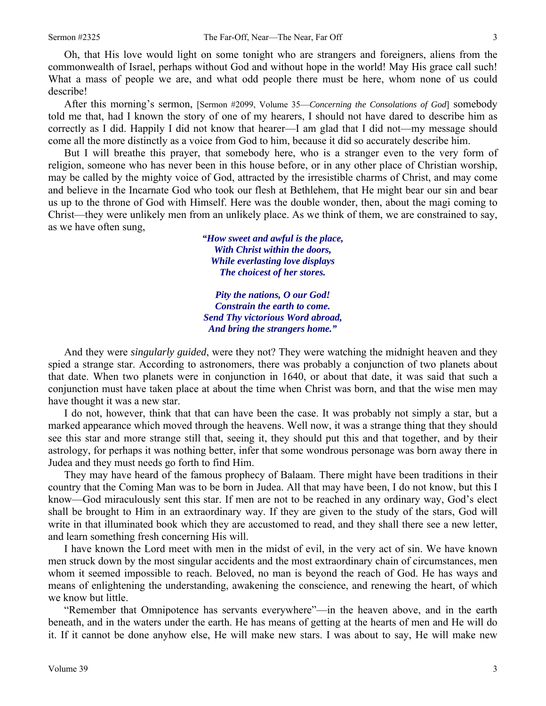Oh, that His love would light on some tonight who are strangers and foreigners, aliens from the commonwealth of Israel, perhaps without God and without hope in the world! May His grace call such! What a mass of people we are, and what odd people there must be here, whom none of us could describe!

After this morning's sermon, [Sermon #2099, Volume 35—*Concerning the Consolations of God*] somebody told me that, had I known the story of one of my hearers, I should not have dared to describe him as correctly as I did. Happily I did not know that hearer—I am glad that I did not—my message should come all the more distinctly as a voice from God to him, because it did so accurately describe him.

But I will breathe this prayer, that somebody here, who is a stranger even to the very form of religion, someone who has never been in this house before, or in any other place of Christian worship, may be called by the mighty voice of God, attracted by the irresistible charms of Christ, and may come and believe in the Incarnate God who took our flesh at Bethlehem, that He might bear our sin and bear us up to the throne of God with Himself. Here was the double wonder, then, about the magi coming to Christ—they were unlikely men from an unlikely place. As we think of them, we are constrained to say, as we have often sung,

> *"How sweet and awful is the place, With Christ within the doors, While everlasting love displays The choicest of her stores.*

> *Pity the nations, O our God! Constrain the earth to come. Send Thy victorious Word abroad, And bring the strangers home."*

And they were *singularly guided*, were they not? They were watching the midnight heaven and they spied a strange star. According to astronomers, there was probably a conjunction of two planets about that date. When two planets were in conjunction in 1640, or about that date, it was said that such a conjunction must have taken place at about the time when Christ was born, and that the wise men may have thought it was a new star.

I do not, however, think that that can have been the case. It was probably not simply a star, but a marked appearance which moved through the heavens. Well now, it was a strange thing that they should see this star and more strange still that, seeing it, they should put this and that together, and by their astrology, for perhaps it was nothing better, infer that some wondrous personage was born away there in Judea and they must needs go forth to find Him.

They may have heard of the famous prophecy of Balaam. There might have been traditions in their country that the Coming Man was to be born in Judea. All that may have been, I do not know, but this I know—God miraculously sent this star. If men are not to be reached in any ordinary way, God's elect shall be brought to Him in an extraordinary way. If they are given to the study of the stars, God will write in that illuminated book which they are accustomed to read, and they shall there see a new letter, and learn something fresh concerning His will.

I have known the Lord meet with men in the midst of evil, in the very act of sin. We have known men struck down by the most singular accidents and the most extraordinary chain of circumstances, men whom it seemed impossible to reach. Beloved, no man is beyond the reach of God. He has ways and means of enlightening the understanding, awakening the conscience, and renewing the heart, of which we know but little.

"Remember that Omnipotence has servants everywhere"—in the heaven above, and in the earth beneath, and in the waters under the earth. He has means of getting at the hearts of men and He will do it. If it cannot be done anyhow else, He will make new stars. I was about to say, He will make new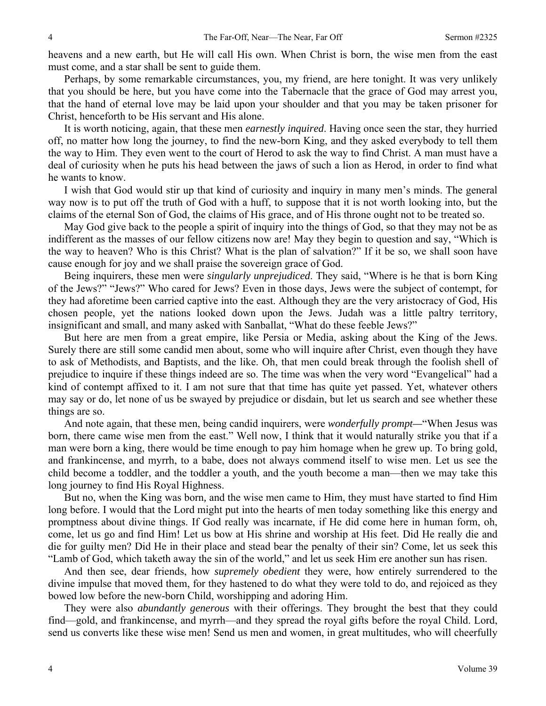heavens and a new earth, but He will call His own. When Christ is born, the wise men from the east must come, and a star shall be sent to guide them.

Perhaps, by some remarkable circumstances, you, my friend, are here tonight. It was very unlikely that you should be here, but you have come into the Tabernacle that the grace of God may arrest you, that the hand of eternal love may be laid upon your shoulder and that you may be taken prisoner for Christ, henceforth to be His servant and His alone.

It is worth noticing, again, that these men *earnestly inquired*. Having once seen the star, they hurried off, no matter how long the journey, to find the new-born King, and they asked everybody to tell them the way to Him. They even went to the court of Herod to ask the way to find Christ. A man must have a deal of curiosity when he puts his head between the jaws of such a lion as Herod, in order to find what he wants to know.

I wish that God would stir up that kind of curiosity and inquiry in many men's minds. The general way now is to put off the truth of God with a huff, to suppose that it is not worth looking into, but the claims of the eternal Son of God, the claims of His grace, and of His throne ought not to be treated so.

May God give back to the people a spirit of inquiry into the things of God, so that they may not be as indifferent as the masses of our fellow citizens now are! May they begin to question and say, "Which is the way to heaven? Who is this Christ? What is the plan of salvation?" If it be so, we shall soon have cause enough for joy and we shall praise the sovereign grace of God.

Being inquirers, these men were *singularly unprejudiced*. They said, "Where is he that is born King of the Jews?" "Jews?" Who cared for Jews? Even in those days, Jews were the subject of contempt, for they had aforetime been carried captive into the east. Although they are the very aristocracy of God, His chosen people, yet the nations looked down upon the Jews. Judah was a little paltry territory, insignificant and small, and many asked with Sanballat, "What do these feeble Jews?"

But here are men from a great empire, like Persia or Media, asking about the King of the Jews. Surely there are still some candid men about, some who will inquire after Christ, even though they have to ask of Methodists, and Baptists, and the like. Oh, that men could break through the foolish shell of prejudice to inquire if these things indeed are so. The time was when the very word "Evangelical" had a kind of contempt affixed to it. I am not sure that that time has quite yet passed. Yet, whatever others may say or do, let none of us be swayed by prejudice or disdain, but let us search and see whether these things are so.

And note again, that these men, being candid inquirers, were *wonderfully prompt—*"When Jesus was born, there came wise men from the east." Well now, I think that it would naturally strike you that if a man were born a king, there would be time enough to pay him homage when he grew up. To bring gold, and frankincense, and myrrh, to a babe, does not always commend itself to wise men. Let us see the child become a toddler, and the toddler a youth, and the youth become a man—then we may take this long journey to find His Royal Highness.

But no, when the King was born*,* and the wise men came to Him, they must have started to find Him long before. I would that the Lord might put into the hearts of men today something like this energy and promptness about divine things. If God really was incarnate, if He did come here in human form, oh, come, let us go and find Him! Let us bow at His shrine and worship at His feet. Did He really die and die for guilty men? Did He in their place and stead bear the penalty of their sin? Come, let us seek this "Lamb of God, which taketh away the sin of the world," and let us seek Him ere another sun has risen.

And then see, dear friends, how *supremely obedient* they were, how entirely surrendered to the divine impulse that moved them, for they hastened to do what they were told to do, and rejoiced as they bowed low before the new-born Child, worshipping and adoring Him.

They were also *abundantly generous* with their offerings. They brought the best that they could find—gold, and frankincense, and myrrh—and they spread the royal gifts before the royal Child. Lord, send us converts like these wise men! Send us men and women, in great multitudes, who will cheerfully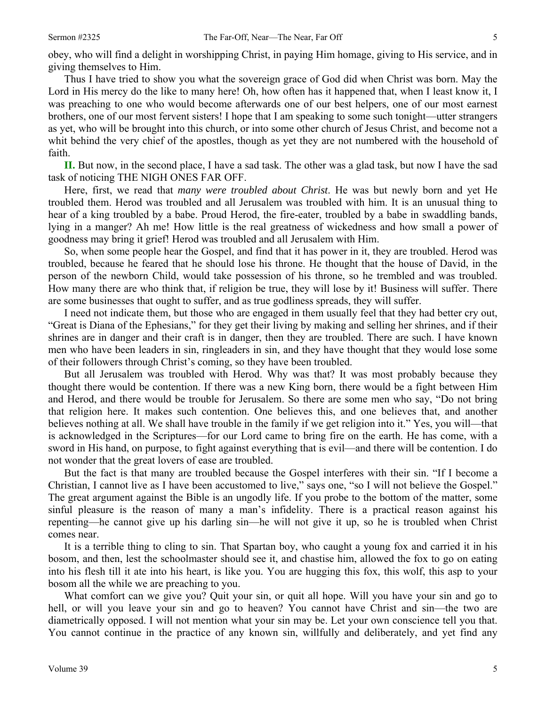obey, who will find a delight in worshipping Christ, in paying Him homage, giving to His service, and in giving themselves to Him.

Thus I have tried to show you what the sovereign grace of God did when Christ was born. May the Lord in His mercy do the like to many here! Oh, how often has it happened that, when I least know it, I was preaching to one who would become afterwards one of our best helpers, one of our most earnest brothers, one of our most fervent sisters! I hope that I am speaking to some such tonight—utter strangers as yet, who will be brought into this church, or into some other church of Jesus Christ, and become not a whit behind the very chief of the apostles, though as yet they are not numbered with the household of faith.

**II.** But now, in the second place, I have a sad task. The other was a glad task, but now I have the sad task of noticing THE NIGH ONES FAR OFF.

Here, first, we read that *many were troubled about Christ*. He was but newly born and yet He troubled them. Herod was troubled and all Jerusalem was troubled with him. It is an unusual thing to hear of a king troubled by a babe. Proud Herod, the fire-eater, troubled by a babe in swaddling bands, lying in a manger? Ah me! How little is the real greatness of wickedness and how small a power of goodness may bring it grief! Herod was troubled and all Jerusalem with Him.

So, when some people hear the Gospel, and find that it has power in it, they are troubled. Herod was troubled, because he feared that he should lose his throne. He thought that the house of David, in the person of the newborn Child, would take possession of his throne, so he trembled and was troubled. How many there are who think that, if religion be true, they will lose by it! Business will suffer. There are some businesses that ought to suffer, and as true godliness spreads, they will suffer.

I need not indicate them, but those who are engaged in them usually feel that they had better cry out, "Great is Diana of the Ephesians," for they get their living by making and selling her shrines, and if their shrines are in danger and their craft is in danger, then they are troubled. There are such. I have known men who have been leaders in sin, ringleaders in sin, and they have thought that they would lose some of their followers through Christ's coming, so they have been troubled.

But all Jerusalem was troubled with Herod. Why was that? It was most probably because they thought there would be contention. If there was a new King born, there would be a fight between Him and Herod, and there would be trouble for Jerusalem. So there are some men who say, "Do not bring that religion here. It makes such contention. One believes this, and one believes that, and another believes nothing at all. We shall have trouble in the family if we get religion into it." Yes, you will—that is acknowledged in the Scriptures—for our Lord came to bring fire on the earth. He has come, with a sword in His hand, on purpose, to fight against everything that is evil—and there will be contention. I do not wonder that the great lovers of ease are troubled.

But the fact is that many are troubled because the Gospel interferes with their sin. "If I become a Christian, I cannot live as I have been accustomed to live," says one, "so I will not believe the Gospel." The great argument against the Bible is an ungodly life. If you probe to the bottom of the matter, some sinful pleasure is the reason of many a man's infidelity. There is a practical reason against his repenting—he cannot give up his darling sin—he will not give it up, so he is troubled when Christ comes near.

It is a terrible thing to cling to sin. That Spartan boy, who caught a young fox and carried it in his bosom, and then, lest the schoolmaster should see it, and chastise him, allowed the fox to go on eating into his flesh till it ate into his heart, is like you. You are hugging this fox, this wolf, this asp to your bosom all the while we are preaching to you.

What comfort can we give you? Quit your sin, or quit all hope. Will you have your sin and go to hell, or will you leave your sin and go to heaven? You cannot have Christ and sin—the two are diametrically opposed. I will not mention what your sin may be. Let your own conscience tell you that. You cannot continue in the practice of any known sin, willfully and deliberately, and yet find any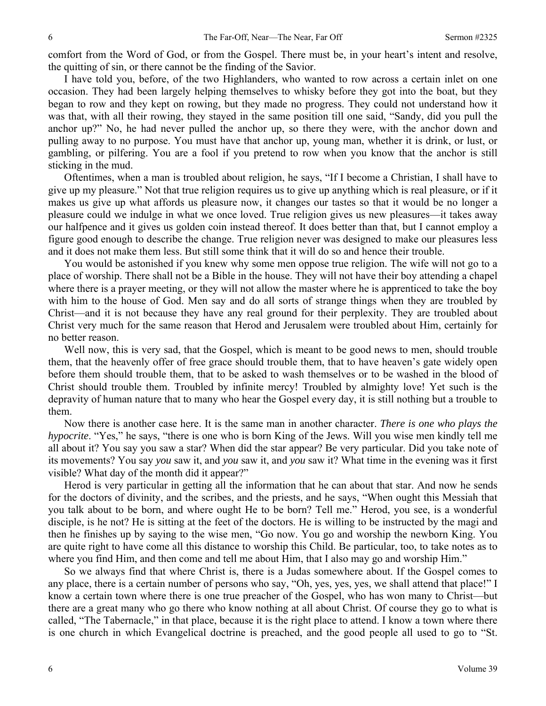comfort from the Word of God, or from the Gospel. There must be, in your heart's intent and resolve, the quitting of sin, or there cannot be the finding of the Savior.

I have told you, before, of the two Highlanders, who wanted to row across a certain inlet on one occasion. They had been largely helping themselves to whisky before they got into the boat, but they began to row and they kept on rowing, but they made no progress. They could not understand how it was that, with all their rowing, they stayed in the same position till one said, "Sandy, did you pull the anchor up?" No, he had never pulled the anchor up, so there they were, with the anchor down and pulling away to no purpose. You must have that anchor up, young man, whether it is drink, or lust, or gambling, or pilfering. You are a fool if you pretend to row when you know that the anchor is still sticking in the mud.

Oftentimes, when a man is troubled about religion, he says, "If I become a Christian, I shall have to give up my pleasure." Not that true religion requires us to give up anything which is real pleasure, or if it makes us give up what affords us pleasure now, it changes our tastes so that it would be no longer a pleasure could we indulge in what we once loved. True religion gives us new pleasures—it takes away our halfpence and it gives us golden coin instead thereof. It does better than that, but I cannot employ a figure good enough to describe the change. True religion never was designed to make our pleasures less and it does not make them less. But still some think that it will do so and hence their trouble.

You would be astonished if you knew why some men oppose true religion. The wife will not go to a place of worship. There shall not be a Bible in the house. They will not have their boy attending a chapel where there is a prayer meeting, or they will not allow the master where he is apprenticed to take the boy with him to the house of God. Men say and do all sorts of strange things when they are troubled by Christ—and it is not because they have any real ground for their perplexity. They are troubled about Christ very much for the same reason that Herod and Jerusalem were troubled about Him, certainly for no better reason.

Well now, this is very sad, that the Gospel, which is meant to be good news to men, should trouble them, that the heavenly offer of free grace should trouble them, that to have heaven's gate widely open before them should trouble them, that to be asked to wash themselves or to be washed in the blood of Christ should trouble them. Troubled by infinite mercy! Troubled by almighty love! Yet such is the depravity of human nature that to many who hear the Gospel every day, it is still nothing but a trouble to them.

Now there is another case here. It is the same man in another character. *There is one who plays the hypocrite*. "Yes," he says, "there is one who is born King of the Jews. Will you wise men kindly tell me all about it? You say you saw a star? When did the star appear? Be very particular. Did you take note of its movements? You say *you* saw it, and *you* saw it, and *you* saw it? What time in the evening was it first visible? What day of the month did it appear?"

Herod is very particular in getting all the information that he can about that star. And now he sends for the doctors of divinity, and the scribes, and the priests, and he says, "When ought this Messiah that you talk about to be born, and where ought He to be born? Tell me." Herod, you see, is a wonderful disciple, is he not? He is sitting at the feet of the doctors. He is willing to be instructed by the magi and then he finishes up by saying to the wise men, "Go now. You go and worship the newborn King. You are quite right to have come all this distance to worship this Child. Be particular, too, to take notes as to where you find Him, and then come and tell me about Him, that I also may go and worship Him."

So we always find that where Christ is, there is a Judas somewhere about. If the Gospel comes to any place, there is a certain number of persons who say, "Oh, yes, yes, yes, we shall attend that place!" I know a certain town where there is one true preacher of the Gospel, who has won many to Christ—but there are a great many who go there who know nothing at all about Christ. Of course they go to what is called, "The Tabernacle," in that place, because it is the right place to attend. I know a town where there is one church in which Evangelical doctrine is preached, and the good people all used to go to "St.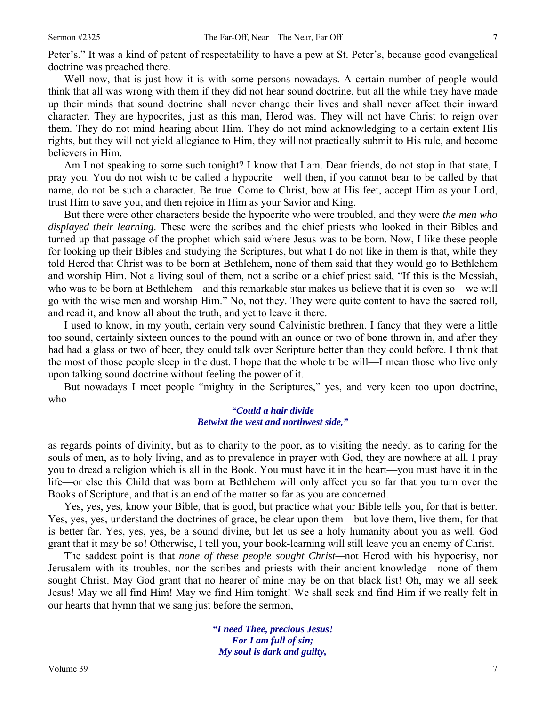Peter's." It was a kind of patent of respectability to have a pew at St. Peter's, because good evangelical doctrine was preached there.

Well now, that is just how it is with some persons nowadays. A certain number of people would think that all was wrong with them if they did not hear sound doctrine, but all the while they have made up their minds that sound doctrine shall never change their lives and shall never affect their inward character. They are hypocrites, just as this man, Herod was. They will not have Christ to reign over them. They do not mind hearing about Him. They do not mind acknowledging to a certain extent His rights, but they will not yield allegiance to Him, they will not practically submit to His rule, and become believers in Him.

Am I not speaking to some such tonight? I know that I am. Dear friends, do not stop in that state, I pray you. You do not wish to be called a hypocrite—well then, if you cannot bear to be called by that name, do not be such a character. Be true. Come to Christ, bow at His feet, accept Him as your Lord, trust Him to save you, and then rejoice in Him as your Savior and King.

But there were other characters beside the hypocrite who were troubled, and they were *the men who displayed their learning*. These were the scribes and the chief priests who looked in their Bibles and turned up that passage of the prophet which said where Jesus was to be born. Now, I like these people for looking up their Bibles and studying the Scriptures, but what I do not like in them is that, while they told Herod that Christ was to be born at Bethlehem, none of them said that they would go to Bethlehem and worship Him. Not a living soul of them, not a scribe or a chief priest said, "If this is the Messiah, who was to be born at Bethlehem—and this remarkable star makes us believe that it is even so—we will go with the wise men and worship Him." No, not they. They were quite content to have the sacred roll, and read it, and know all about the truth, and yet to leave it there.

I used to know, in my youth, certain very sound Calvinistic brethren. I fancy that they were a little too sound, certainly sixteen ounces to the pound with an ounce or two of bone thrown in, and after they had had a glass or two of beer, they could talk over Scripture better than they could before. I think that the most of those people sleep in the dust. I hope that the whole tribe will—I mean those who live only upon talking sound doctrine without feeling the power of it.

But nowadays I meet people "mighty in the Scriptures," yes, and very keen too upon doctrine, who—

## *"Could a hair divide Betwixt the west and northwest side,"*

as regards points of divinity, but as to charity to the poor, as to visiting the needy, as to caring for the souls of men, as to holy living, and as to prevalence in prayer with God, they are nowhere at all. I pray you to dread a religion which is all in the Book. You must have it in the heart—you must have it in the life—or else this Child that was born at Bethlehem will only affect you so far that you turn over the Books of Scripture, and that is an end of the matter so far as you are concerned.

Yes, yes, yes, know your Bible, that is good, but practice what your Bible tells you, for that is better. Yes, yes, yes, understand the doctrines of grace, be clear upon them—but love them, live them, for that is better far. Yes, yes, yes, be a sound divine, but let us see a holy humanity about you as well. God grant that it may be so! Otherwise, I tell you, your book-learning will still leave you an enemy of Christ.

The saddest point is that *none of these people sought Christ—*not Herod with his hypocrisy, nor Jerusalem with its troubles, nor the scribes and priests with their ancient knowledge—none of them sought Christ. May God grant that no hearer of mine may be on that black list! Oh, may we all seek Jesus! May we all find Him! May we find Him tonight! We shall seek and find Him if we really felt in our hearts that hymn that we sang just before the sermon,

> *"I need Thee, precious Jesus! For I am full of sin; My soul is dark and guilty,*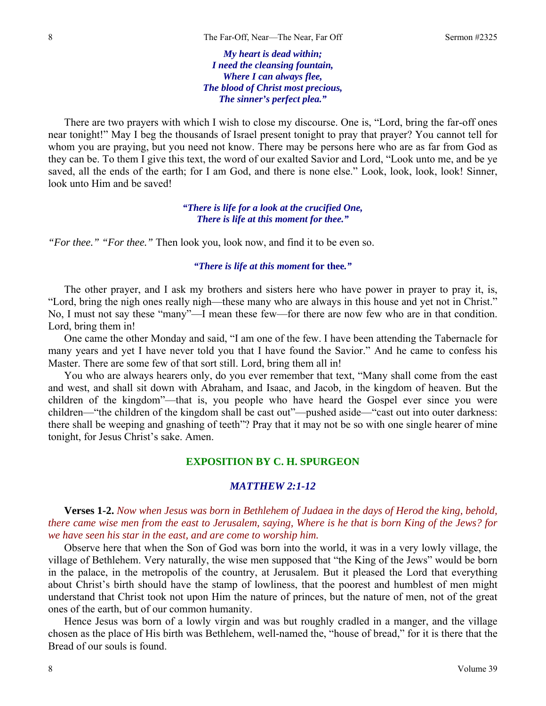*My heart is dead within; I need the cleansing fountain, Where I can always flee, The blood of Christ most precious, The sinner's perfect plea."* 

There are two prayers with which I wish to close my discourse. One is, "Lord, bring the far-off ones near tonight!" May I beg the thousands of Israel present tonight to pray that prayer? You cannot tell for whom you are praying, but you need not know. There may be persons here who are as far from God as they can be. To them I give this text, the word of our exalted Savior and Lord, "Look unto me, and be ye saved, all the ends of the earth; for I am God, and there is none else." Look, look, look, look! Sinner, look unto Him and be saved!

> *"There is life for a look at the crucified One, There is life at this moment for thee."*

*"For thee." "For thee."* Then look you, look now, and find it to be even so.

#### *"There is life at this moment* **for thee***."*

The other prayer, and I ask my brothers and sisters here who have power in prayer to pray it, is, "Lord, bring the nigh ones really nigh—these many who are always in this house and yet not in Christ." No, I must not say these "many"—I mean these few—for there are now few who are in that condition. Lord, bring them in!

One came the other Monday and said, "I am one of the few. I have been attending the Tabernacle for many years and yet I have never told you that I have found the Savior." And he came to confess his Master. There are some few of that sort still. Lord, bring them all in!

You who are always hearers only, do you ever remember that text, "Many shall come from the east and west, and shall sit down with Abraham, and Isaac, and Jacob, in the kingdom of heaven. But the children of the kingdom"—that is, you people who have heard the Gospel ever since you were children—"the children of the kingdom shall be cast out"—pushed aside—"cast out into outer darkness: there shall be weeping and gnashing of teeth"? Pray that it may not be so with one single hearer of mine tonight, for Jesus Christ's sake. Amen.

## **EXPOSITION BY C. H. SPURGEON**

## *MATTHEW 2:1-12*

**Verses 1-2.** *Now when Jesus was born in Bethlehem of Judaea in the days of Herod the king, behold, there came wise men from the east to Jerusalem, saying, Where is he that is born King of the Jews? for we have seen his star in the east, and are come to worship him.*

Observe here that when the Son of God was born into the world, it was in a very lowly village, the village of Bethlehem. Very naturally, the wise men supposed that "the King of the Jews" would be born in the palace, in the metropolis of the country, at Jerusalem. But it pleased the Lord that everything about Christ's birth should have the stamp of lowliness, that the poorest and humblest of men might understand that Christ took not upon Him the nature of princes, but the nature of men, not of the great ones of the earth, but of our common humanity.

Hence Jesus was born of a lowly virgin and was but roughly cradled in a manger, and the village chosen as the place of His birth was Bethlehem, well-named the, "house of bread," for it is there that the Bread of our souls is found.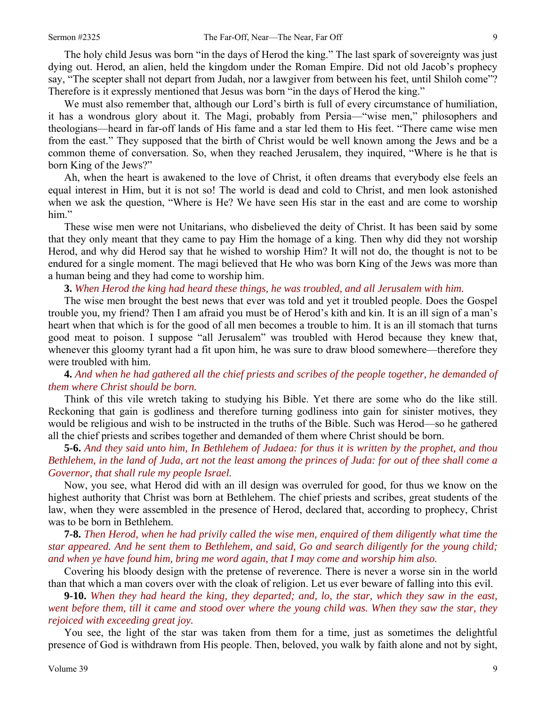The holy child Jesus was born "in the days of Herod the king." The last spark of sovereignty was just dying out. Herod, an alien, held the kingdom under the Roman Empire. Did not old Jacob's prophecy say, "The scepter shall not depart from Judah, nor a lawgiver from between his feet, until Shiloh come"? Therefore is it expressly mentioned that Jesus was born "in the days of Herod the king."

We must also remember that, although our Lord's birth is full of every circumstance of humiliation, it has a wondrous glory about it. The Magi, probably from Persia—"wise men," philosophers and theologians—heard in far-off lands of His fame and a star led them to His feet. "There came wise men from the east." They supposed that the birth of Christ would be well known among the Jews and be a common theme of conversation. So, when they reached Jerusalem, they inquired, "Where is he that is born King of the Jews?"

Ah, when the heart is awakened to the love of Christ, it often dreams that everybody else feels an equal interest in Him, but it is not so! The world is dead and cold to Christ, and men look astonished when we ask the question, "Where is He? We have seen His star in the east and are come to worship him."

These wise men were not Unitarians, who disbelieved the deity of Christ. It has been said by some that they only meant that they came to pay Him the homage of a king. Then why did they not worship Herod, and why did Herod say that he wished to worship Him? It will not do, the thought is not to be endured for a single moment. The magi believed that He who was born King of the Jews was more than a human being and they had come to worship him.

**3.** *When Herod the king had heard these things, he was troubled, and all Jerusalem with him.* 

The wise men brought the best news that ever was told and yet it troubled people. Does the Gospel trouble you, my friend? Then I am afraid you must be of Herod's kith and kin. It is an ill sign of a man's heart when that which is for the good of all men becomes a trouble to him. It is an ill stomach that turns good meat to poison. I suppose "all Jerusalem" was troubled with Herod because they knew that, whenever this gloomy tyrant had a fit upon him, he was sure to draw blood somewhere—therefore they were troubled with him.

**4.** *And when he had gathered all the chief priests and scribes of the people together, he demanded of them where Christ should be born.* 

Think of this vile wretch taking to studying his Bible. Yet there are some who do the like still. Reckoning that gain is godliness and therefore turning godliness into gain for sinister motives, they would be religious and wish to be instructed in the truths of the Bible. Such was Herod—so he gathered all the chief priests and scribes together and demanded of them where Christ should be born.

**5-6.** *And they said unto him, In Bethlehem of Judaea: for thus it is written by the prophet, and thou Bethlehem, in the land of Juda, art not the least among the princes of Juda: for out of thee shall come a Governor, that shall rule my people Israel.*

Now, you see, what Herod did with an ill design was overruled for good, for thus we know on the highest authority that Christ was born at Bethlehem. The chief priests and scribes, great students of the law, when they were assembled in the presence of Herod, declared that, according to prophecy, Christ was to be born in Bethlehem.

**7-8.** *Then Herod, when he had privily called the wise men, enquired of them diligently what time the star appeared. And he sent them to Bethlehem, and said, Go and search diligently for the young child; and when ye have found him, bring me word again, that I may come and worship him also.* 

Covering his bloody design with the pretense of reverence. There is never a worse sin in the world than that which a man covers over with the cloak of religion. Let us ever beware of falling into this evil.

**9-10.** *When they had heard the king, they departed; and, lo, the star, which they saw in the east, went before them, till it came and stood over where the young child was. When they saw the star, they rejoiced with exceeding great joy.*

You see, the light of the star was taken from them for a time, just as sometimes the delightful presence of God is withdrawn from His people. Then, beloved, you walk by faith alone and not by sight,